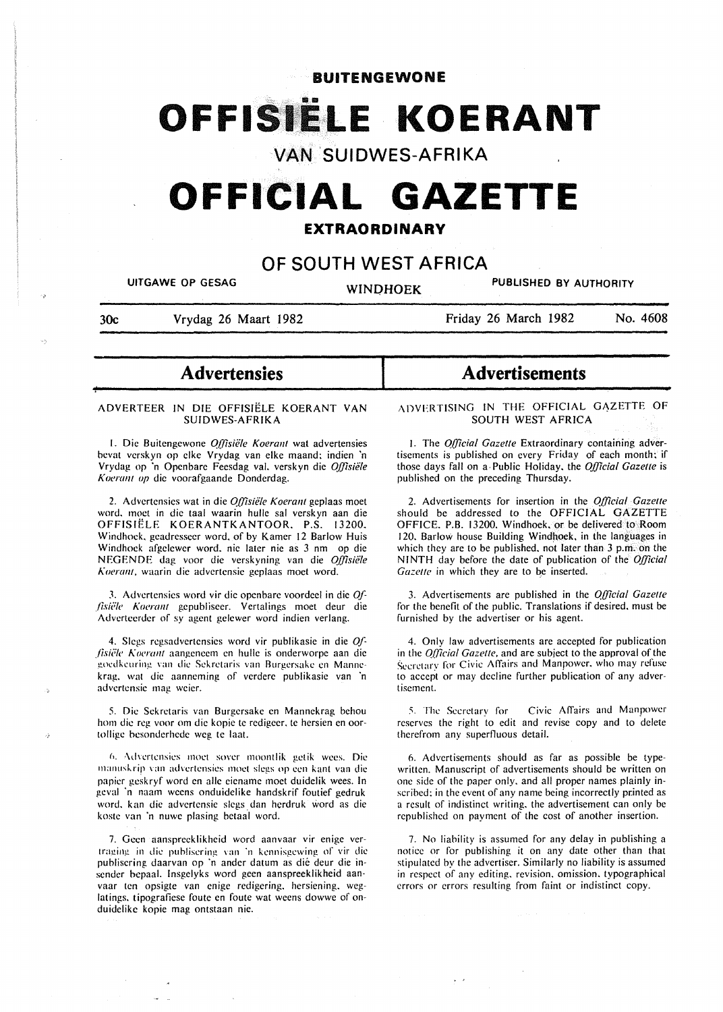**BUITENGEWONE** 

# OFFISIËLE KOERANT

# **VAN SUIDWES-AFRIKA**

# **OFFICIAL GAZETTE**

# **EXTRAORDINARY**

# **OF SOUTH WEST AFRICA**

UITGAWE OP GESAG WINDHOEK PUBLISHED BY AUTHORITY

**of-**

30c Vrydag 26 Maart 1982

Friday 26 March 1982 No. 4608

# - **Advertensies**

## ADVERTEER IN DIE OFFISIELE KOERANT VAN SUIDWES-AFRIKA

1. Die Buitengewone *Offisiële Koerant* wat advertensies bevat verskyn op elke Vrydag van elke maand; indien 'n Vrydag op ·n Openbare Fecsdag val. verskyn die *Q{!isiele*  Koerant op die voorafgaande Donderdag.

2. Advertensies wat in die *Q{!isiele Koerant* geplaas moet word. moet in die taal waarin hulle sal verskyn aan die OFFISIELE KOERANTKANTOOR. P.S. 13200. Windhoek. geadresseer word. of by Kamer 12 Barlow Huis Windhoek afgelewer word. nie later nie as 3 nm op die NEGENDE dag voor die verskyning van die *Q{!isiete A:oera/11,* waarin die advertensie geplaas moet word.

3. Advertensies word vir die openbare voordeel in die Offisiële Koerant gepubliseer. Vertalings moet deur die Adverteerder of sy agent gelewer word indien verlang.

4. Slegs rcgsadvertensies word vir publikasic in die *Q{ fisiële Koerant* aangeneem en hulle is onderworpe aan die goedkcuring van die Sekretaris van Burgersake en Mannekrag. wat die aanncming of verdere publikasie van 'n advertensie mag weier.

5. Die Sekretaris van Burgersake en Mannekrag behou hom die reg voor om die kopie te redigeer, te hersien en oortolligc hcsondcrhede wcg tc laat.

*£>.* \dvcrtcnsics moct sovcr moontlik gctik wccs. Die manuskrip van advertensies moet slegs op een kant van die papier gcskryf word en aile eiename moet duidelik wees. In geval 'n naam weens onduidelike handskrif foutief gedruk word. kan die advertensie slegs dan herdruk word as die koste van 'n nuwe plasing betaal word.

7. Gcen aanspreeklikheid word aanvaar vir cnige vertraging in die puh!iscring van ·n kcnnisgcwing or vir die publiscring daarvan op ·n ander datum as die deur die insender bepaal. lnsgclyks word geen aanspreeklikheid aanvaar ten opsigte van enige redigering. hersicning. wcglatings. tipografiese foute en foute wat weens dowwe of onduidelikc kopie mag ontstaan nie.

# **Advertisements**

ADVERTISING IN THE OFFICIAL GAZETTE OF SOUTH WEST AFRICA

1. The *Q{!icial Gazelle* Extraordinary containing advertisements is published on every Friday of each month: if those days fall on a· Public Holiday. the *Official Gazette* is published on the preceding Thursday.

2. Advertisements for insertion in the *Q[!icial Gazelle*  should be addressed to the OFFICIAL GAZETTE OFFICE. P.B. 13200. Windhoek. or be delivered to .Room 120. Barlow house Building Windhoek, in the languages in which they are to be published, not later than 3 p.m. on the NINTH day before the date of publication of the *Q{!icial*  Gazette in which they are to be inserted.

3. Advertisements are published in the *Q{!icial Gazelle*  for the benefit of the public. Translations if desired. must be furnished by the advertiser or his agent.

4. Only law advertisements arc accepted for publication in the *Q[17cial Gazelle,* and are subject to the approval of the Secretary for Civic Affairs and Manpower, who may refuse to accept or may decline further publication of any advertisement.

5. The Secretary for Civic Affairs and Manpower reserves the right to edit and revise copy and to delete therefrom any superfluous detail.

6. Advertisements should as far as possible be typewritten. Manuscript of advertisements should be written on one side of the paper only. and all proper names plainly inscribed: in the event of any name being incorrectly printed as a result of indistinct writing. the advertisement can only be republished on payment of the cost of another insertion.

7. No liability is assumed for any delay in publishing a notice or for publishing it on any date other than that stipulated by the advertiser. Similarly no liability is assumed in respect of any editing. revision. omission. typographical errors or errors resulting from faint or indistinct copy.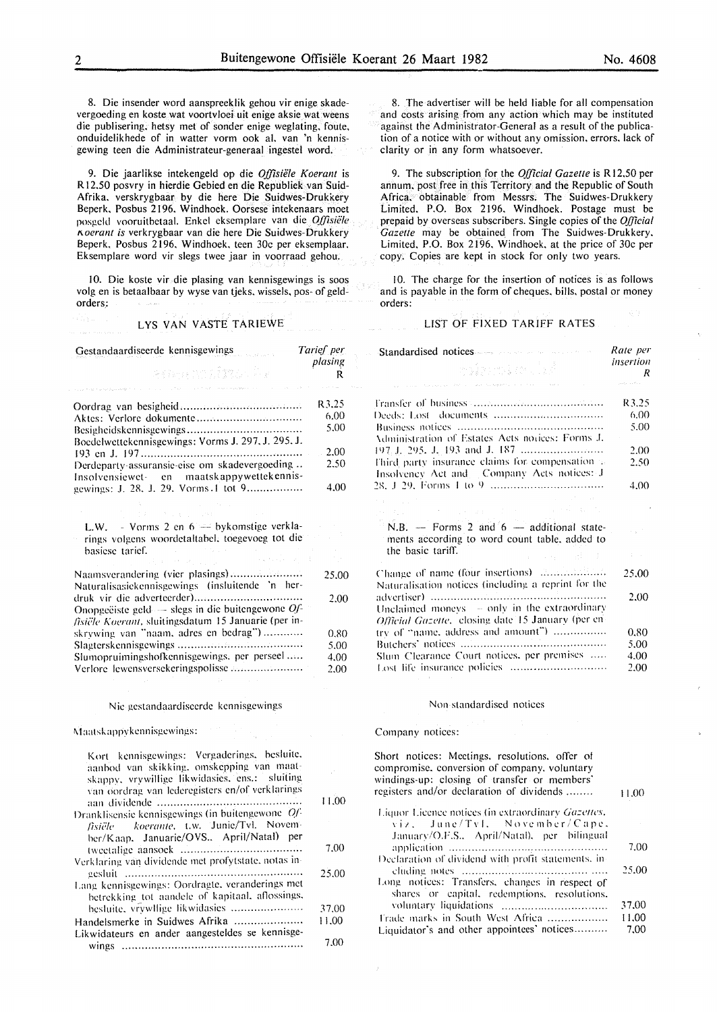8. Die insender word aanspreeklik gehou vir enige skadevergoeding en koste wat voortvloei uit enige aksie wat weens die publisering. hetsy met of sonder enige weglating. foute, onduidelikhede of in watter vorm ook al. van 'n kennisgewing teen die Administrateur-generaal ingestel word.

9. Die jaarlikse intekengeld op die *Offisiële Koerant* is R 12.50 posvry in hierdie Gebied en die Republiek van Suid-Afrika. verskrygbaar by die here Die Suidwes-Drukkery Beperk. Posbus 2196. Windhoek. Oorsese intekenaar& moet posgcld vooruitbctaal. Enkcl eksemplare van die *Q{(isiele l'..oerant is* verkrygbaar van die here Die Suidwes-Drukkery Beperk. Posbus 2196. Windhoek. teen 30c per eksemplaar. Eksemplare word vir slegs twee jaar in voorraad gehou.

10. Die koste vir die plasing van kennisgewings is soos volg en is betaalbaar by wyse van tjeks. wissels, pos- of geldorders.:

## LYS VAN VASTE TARIEWE

| Gestandaardiseerde kennisgewings                                                                         | Tarief per<br>plasing |
|----------------------------------------------------------------------------------------------------------|-----------------------|
| asang mulimbo ka                                                                                         | R                     |
|                                                                                                          |                       |
|                                                                                                          | R3.25                 |
|                                                                                                          | 6.00                  |
| Boedelwettekennisgewings: Vorms J. 297, J. 295, J.                                                       | 5.00                  |
|                                                                                                          | 2.00                  |
| Derdeparty-assuransie-eise om skadevergoeding<br>Insolvensiewet- en maatskappywettekennis-               | 2.50                  |
| gewings: J. 28, J. 29, Vorms 1 tot 9                                                                     | 4.00                  |
|                                                                                                          |                       |
| L.W. - Vorms 2 en $6 \rightarrow$ by komstige verkla-<br>rings volgens woordetaltabel, toegevoeg tot die |                       |
| basiese tarief.                                                                                          |                       |
| a porta                                                                                                  |                       |
| Naamsverandering (vier plasings)<br>Naturalisasiekennisgewings (insluitende 'n her-                      | 25.00                 |
| Onopgeëiste geld $-$ slegs in die buitengewone $Qf$ -                                                    | 2.00                  |
| fisiële Koerant, sluitingsdatum 15 Januarie (per in-                                                     |                       |
| skrywing van "naam, adres en bedrag")                                                                    | 0.80                  |
|                                                                                                          | 5.00                  |
| Slumopruimingshofkennisgewings, per perseel                                                              | 4.00                  |
| Verlore lewensversekeringspolisse                                                                        | 2.00                  |

#### Nic gestandaardiseerde kennisgewings

Maatskappykennisgewings:

| Kort kennisgewings: Vergaderings, besluite,<br>aanbod van skikking, omskepping van maat-<br>skappy, vrywillige likwidasies, ens.: sluiting<br>van oordrag van lederegisters en/of verklarings |       |
|-----------------------------------------------------------------------------------------------------------------------------------------------------------------------------------------------|-------|
|                                                                                                                                                                                               | 11.00 |
| Dranklisensie kennisgewings (in buitengewone Of-<br>fisiële koerante, t.w. Junie/Tvl. Novem-                                                                                                  |       |
| ber/Kaap. Januarie/OVS April/Natal) per                                                                                                                                                       | 7.00  |
| Verklaring van dividende met profytstate, notas in-                                                                                                                                           |       |
|                                                                                                                                                                                               | 25.00 |
| Lang kennisgewings: Oordragte, veranderings met<br>betrekking tot aandele of kapitaal, aflossings,                                                                                            |       |
| besluite, vrywllige likwidasies                                                                                                                                                               | 37.00 |
| Handelsmerke in Suidwes Afrika                                                                                                                                                                | 11.00 |
| Likwidateurs en ander aangesteldes se kennisge-                                                                                                                                               | 7.00  |

8. The advertiser will be held liable for all compensation and costs arising from any action which may be instituted against the Administrator-General as a result of the publication of a notice with or without any omission, errors. lack of clarity or in any form whatsoever.

9. The subscription for the *Official Gazette* is R12,50 per annum. post free in this Territory and the Republic of South Africa. obtainable from Messrs. The Suidwes-Drukkery Limited. P.O. Box 2196. Windhoek. Postage must be prepaid by overseas subscribers. Single copies of the *Official Gazette* may be obtained from The Suidwes-Drukkery. Limited. P.O. Box 2196. Windhoek. at the price of 30c per copy. Copies are kept in stock for only two years.

10. The charge for the insertion of notices is as follows and is payable in the form of cheques. bills. postal or money orders:

## LIST OF FIXED TARIFF RATES

| <b>Standardised notices</b> and a serious contract of<br>volenske fal                                                                                                               | Rate per<br>insertion<br>R         |
|-------------------------------------------------------------------------------------------------------------------------------------------------------------------------------------|------------------------------------|
| and special contractors and program that the contractors<br><b>Contractor</b>                                                                                                       |                                    |
|                                                                                                                                                                                     | R3.25                              |
|                                                                                                                                                                                     | 6.00                               |
|                                                                                                                                                                                     | 5.00                               |
| Administration of Estates Acts notices: Forms J.                                                                                                                                    |                                    |
|                                                                                                                                                                                     | 2.00                               |
| Third party insurance claims for compensation as<br>Insolvency Act and Company Acts notices: J                                                                                      | 2.50                               |
|                                                                                                                                                                                     | 4.00                               |
| <b>Contractor</b><br>The companies of the companies and the<br>$\label{eq:2.1} \mathcal{F}(\mathbf{x}) = \mathcal{F}_{\mathbf{x},\mathbf{y}}(\mathbf{x}) = \mathcal{F}(\mathbf{x})$ |                                    |
| N.B. $-$ Forms 2 and $6 -$ additional state-<br>ments according to word count table, added to                                                                                       |                                    |
| the basic tariff.<br>1942年4月                                                                                                                                                        | $\mathbb{S}^n \times \mathbb{R}^n$ |
| Naturalisation notices (including a reprint for the                                                                                                                                 | 25.00                              |
| Unclaimed moneys - only in the extraordinary                                                                                                                                        | 2.00                               |
| Official Gazette, closing date 15 January (per en-                                                                                                                                  |                                    |
| try of "name, address and amount")                                                                                                                                                  | 0.80                               |
|                                                                                                                                                                                     | 5.00                               |
| Slum Clearance Court notices, per premises                                                                                                                                          | 4.00                               |
| Lost life insurance policies                                                                                                                                                        | 2.00                               |

#### Non standardised notices

#### Company notices:

Short notices: Meetings. resolutions. offer of compromise. conversion of company. voluntary windings-up: closing of transfer or members' registers and/or declaration of dividends ........ l.iquor Licence notices (in extraordinary *(Ja:ettes.*   $\forall i \lambda$ . June/Tyl. November/Cape. Januarv/O.F.S.. April/Natal\. per bilingual application ............................................... . Declaration of dividend with profit statements, in eluding notL's .......................................... . Long notices: Transfers, changes in respect of shares or capital. redemptions. resolutions. n1luntary liquidations ............................... . I'rade marks in South West Africa .................. Liquidator's and other appointees' notices.......... 11.00 7.00 25.00 37.00 11.00 7.00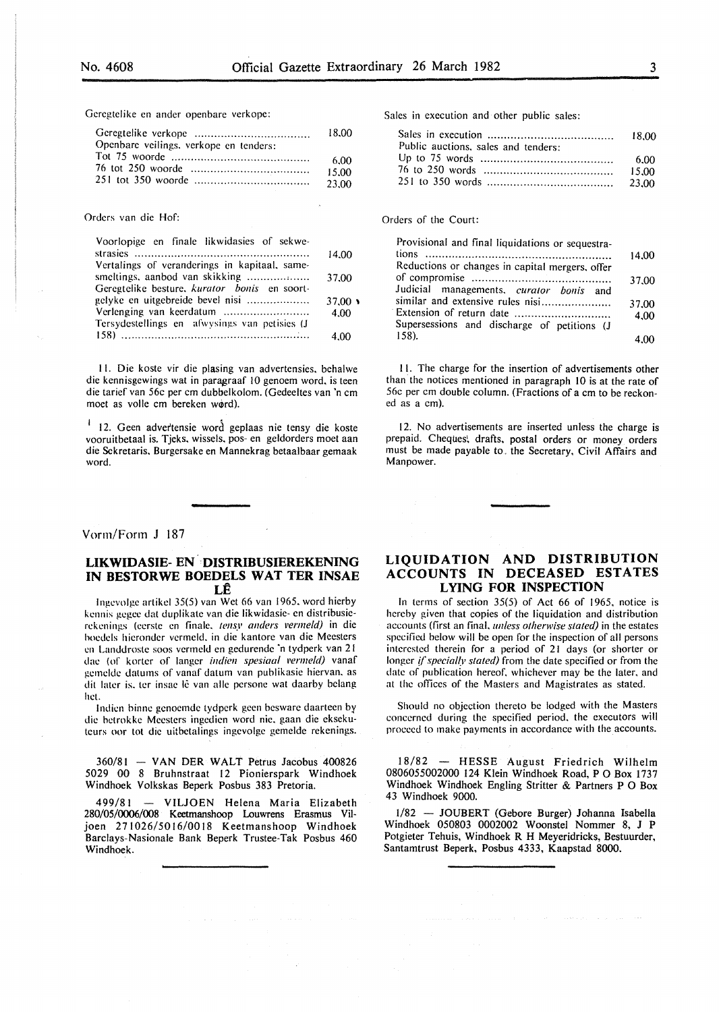Geregtelike en ander openbare verkope:

|                                        | 18.00  |
|----------------------------------------|--------|
| Openbare veilings, verkope en tenders: |        |
|                                        | 6.00   |
|                                        | -15.00 |
|                                        | 23.00  |

#### Orders van die Hof:

| Voorlopige en finale likwidasies of sekwe-    |                |
|-----------------------------------------------|----------------|
|                                               | 14.00          |
| Vertalings of veranderings in kapitaal, same- |                |
|                                               | 37.00          |
| Geregtelike besture, kurator bonis en soort-  |                |
| gelyke en uitgebreide bevel nisi              | $37.00 \times$ |
|                                               | 4.00           |
| Tersydestellings en afwysings van petisies (J |                |
|                                               | 4.00           |

II. Die koste vir die plasing van advertensies. behalwe die kennisgewings wat in paragraaf 10 genoem word. is teen die tarief van 56e per em dubbelkolom. (Gedeeltes van 'n em moet as volle em bereken w@rd).

<sup>1</sup> 12. Geen advertensie word geplaas nie tensy die koste vooruitbetaal is. Tjeks. wissels. pos- en geldorders moet aan die Sckretaris. Burgersake en Mannekrag betaalbaar gemaak word.

## Vorm/Form J 187

# **LIKWIDASIE- EN ··DISTRIBUSIEREKENING IN BESTORWE BOEDELS WAT TER INSAE LE**

Ingevolge artikel 35(5) van Wet 66 van 1965, word hierby kennis gegee dat duplikate van die likwidasie- en distribusierekenings (eerste en finale, tensy anders vermeld) in die hoedels hieronder vermeld. in die kantore van die Meesters en Landdroste soos vermeld en gedurende 'n tydperk van 21 dae (of korter of langer *indien spesiaal vermeld)* vanaf !!emelde datums of vanaf datum van publikasie hiervan. as dit later is, ter insae lê van alle persone wat daarby belang het.

Indien binne genoemde tydperk geen besware daarteen by die hetrokke Meesters ingedien word nie. gaan die eksekuteurs oor tot die uitbetalings ingevolge gemelde rekenings.

360/81 - VAN DER WALT Petrus Jacobus 400826 5029 00 8 Bruhnstraat 12 Pionierspark Windhoek Windhoek Volkskas Beperk Posbus 383 Pretoria.

499/81 - VILJOEN Helena Maria Elizabeth 280/05/0006/008 Keetmanshoop Louwrens Erasmus Viljoen 271026/5016/0018 Keetmanshoop Windhoek Barclays-Nasionale Bank Beperk Trustee-Tak Posbus 460 Windhoek.

Sales in execution and other public sales:

| Public auctions, sales and tenders: |       |
|-------------------------------------|-------|
|                                     | -6.00 |
|                                     | 15.00 |
|                                     |       |

# Orders of the Court:

| Provisional and final liquidations or sequestra- |       |
|--------------------------------------------------|-------|
|                                                  | 14.00 |
| Reductions or changes in capital mergers, offer  |       |
|                                                  | 37.00 |
| Judicial managements, curator bonis and          |       |
| similar and extensive rules nisi                 | 37.00 |
| Extension of return date                         | 4.00  |
| Supersessions and discharge of petitions (J      |       |
| 158.                                             |       |

II. The charge for the insertion of advertisements other than the notices mentioned in paragraph 10 is at the rate of 56c per em double column. (Fractions of a em to be reckoned as a em).

12. No advertisements are inserted unless the charge is prepaid. Cheques; drafts. postal orders or money orders must be made payable to. the Secretary, Civil Affairs and Manpower.

# **LIQUIDATION AND DISTRIBUTION ACCOUNTS IN DECEASED ESTATES LYING FOR INSPECTION**

In terms of section 35(5) of Act 66 of 1965. notice is hereby given that copies of the liquidation and distribution accounts (first an final. *unless otherwise stated)* in the estates specified below will be open for the inspection of all persons interested therein for a period of 21 days (or shorter or longer *if specially stated*) from the date specified or from the date of publication hereof. whichever may be the later. and at the offices of the Masters and Magistrates as stated.

Should no objection thereto be lodged with the Masters concerned during the specified period. the executors will proceed to make payments in accordance with the accounts.

18/82 - HESSE August Friedrich Wilhelm 0806055002000 124 Klein Windhoek Road, P 0 Box 1737 Windhoek Windhoek Engling Stritter & Partners P 0 Box 43 Windhoek 9000.

1/82 - JOUBERT (Gebore Burger) Johanna Isabella Windhoek 050803 0002002 Woonstel Nommer 8, J P Potgieter Tehuis, Windhoek R H Meyeridricks, Bestuurder, Santamtrust Beperk, Posbus 4333, Kaapstad 8000.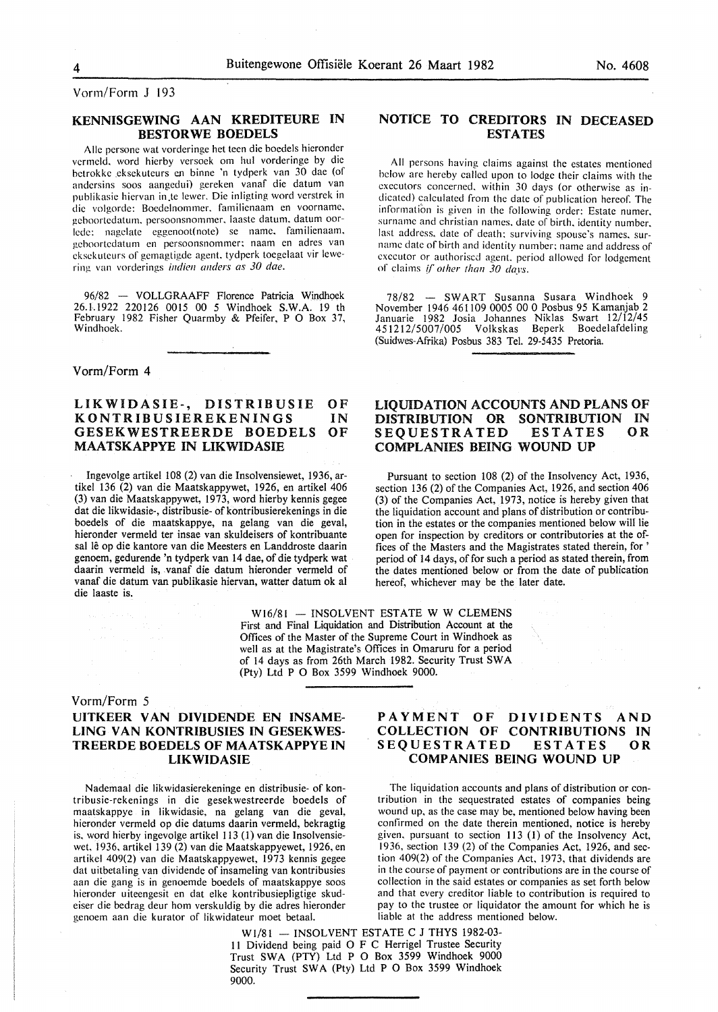Vorm/Form J 193

# KENNISGEWING AAN KREDITEURE IN BESTORWE BOEDELS

Alle persone wat vorderinge het teen die boedels hieronder vermcld. word hierby versock om hul vorderinge by die betrokke eksekuteurs en binne 'n tydperk van 30 dae (of andersins soos aangedui) gereken vanaf die datum van publikasie hiervan in te lewer. Die inligting word verstrek in die volgorde: Boedclnommer. familienaam en voorname. geboortedatum. pcrsoonsnommer. laaste datum. datum oorlede: nagelate eggenoot(note) se name. familienaam. geboortcdatum en persoonsnommer: naam en adres van eksckuteurs of gcmagtigde agent. tydperk tocgelaat vir !ewering van vordcrings *indien anders as 30 dae.* 

96/82 - VOLLGRAAFF Florence Patricia Windhoek 26. 1.1922 220126 0015 00 5 Windhoek S.W.A. 19 th February 1982 Fisher Quarmby & Pfeifer, P 0 Box 37, Windhoek.

Vorm/Form 4

#### LIKWIDASIE-, DISTRIBUSIE KONTRIBUSIEREKENINGS GESEKWESTREERDE BOEDELS MAATSKAPPYE IN LIKWIDASIE **OF** IN OF

Ingevolge artikel 108 (2) van die Insolvensiewet, 1936, artikel 136 (2) van die Maatskappywet, 1926, en artikel 406 (3) van die Maatskappywet, 1973, word hierby kennis gegee dat die likwidasie-, distribusie- of kontribusierekenings in die boedels of die maatskappye, na gelang van die geval, hieronder vermeld ter insae van skuldeisers of kontribuante sal lê op die kantore van die Meesters en Landdroste daarin genoem, gedurende 'n tydperk van 14 dae, of die tydperk wat daarin vermeld is, vanaf die datum hieronder vermeld of vanaf die datum van publikasie hiervan, watter datum ok al die laaste is.

> $W16/81$  - INSOLVENT ESTATE W W CLEMENS First and Final Liquidation and Distribution Account at the Offices of the Master of the Supreme Court in Windhoek as well as at the Magistrate's Offices in Omaruru for a period of 14 days as from 26th March 1982. Security Trust SW A (Pty) Ltd P 0 Box 3599 Windhoek 9000.

# Vorm/Form 5

# UITKEER VAN DIVIDENDE EN INSAME-LING VAN KONTRIBUSIES IN GESEKWES-TREERDE BOEDELS OF MAATSKAPPYE IN

tribusie-rekenings in die gesekwestreerde boedels of maatskappye in likwidasie, na gelang van die geval, wound up, as the case may be, mentioned below having been<br>hieronder vermeld op die datums daarin vermeld, bekragtig confirmed on the date therein mentioned, notice is her is. word hierby ingevolge artikel 113 (1) van die Insolvensie-<br>wet, 1936, artikel 139 (2) van die Maatskappyewet, 1926, en 1936, section 139 (2) of the Companies Act, 1926, and secwet, 1936, artikel 139 (2) van die Maatskappyewet, 1926, en 1936, section 139 (2) of the Companies Act, 1926, and secartikel 409(2) van die Maatskappyewet, 1973 kennis gegee tion 409(2) of the Companies Act, 1973, that div artikel 409(2) van die Maatskappyewet, 1973 kennis gegee dat uitbetaling van dividende of insameling van kontribusies in the course of payment or contributions are in the course of aan die gang is in genoemde boedels of maatskappye soos collection in the said estates or companies as set forth below hieronder uiteengesit en dat elke kontribusiepligtige skud- and that every creditor liable to contribution is required to eiser die bedrag deur hom verskuldig by die adres hieronder pay to the trustee or liquidator the amount for which he is genoem aan die kurator of likwidateur moet betaal. Iiable at the address mentioned below. genoem aan die kurator of likwidateur moet betaal.

# NOTICE TO CREDITORS IN DECEASED ESTATES

All persons having claims against the estates mentioned below arc hereby called upon to lodge their claims with the executors concerned. within 30 days (or otherwise as indicated) calculated from the date of publication hereof. The information is given in the following order: Estate numer. surname and christian names. date of birth. identity number. last address. date of death: surviving spouse's names. surname date of birth and identity number: name and address of executor or authorised agent. period allowed for lodgement of claims *[/'other than 30 days.* 

78/82 - SWART Susanna Susara Windhoek 9 November 1946 461109 0005 00 0 Posbus 95 Kamanjab 2 Januarie 1982 Josia Johannes Niklas Swart 12/12/45 451212/5007/005 Volkskas Beperk Boedelafdeling (Suidwes-Afrika) Posbus 383 Tel. 29-5435 Pretoria.

# LIQUIDATION ACCOUNTS AND PLANS OF DISTRIBUTION OR SONTRIBUTION IN **SEQUESTRATED** COMPLANIES BEING WOUND UP

Pursuant to section 108 (2) of the Insolvency Act, 1936, section 136 (2) of the Companies Act, 1926, and section 406 (3) of the Companies Act, 1973, notice is hereby given that the liquidation account and plans of distribution or contribution in the estates or the companies mentioned below will lie open for inspection by creditors or contributories at the offices of the Masters and the Magistrates stated therein, for ' period of 14 days, of for such a period as stated therein, from the dates mentioned below or from the date of publication hereof, whichever may be the later date.

PAYMENT OF DIVIDENTS AND COLLECTION OF CONTRIBUTIONS IN SEQUESTRATED ESTATES OR LIKWIDASIE COMPANIES BEING WOUND UP

Nademaal die likwidasierekeninge en distribusie- of kon-<br>
Susie-rekenings in die gesekwestreerde boedels of tribution in the sequestrated estates of companies being confirmed on the date therein mentioned, notice is hereby

> $W1/81$  - INSOLVENT ESTATE C J THYS 1982-03-11 Dividend being paid 0 F C Herrigel Trustee Security Trust SWA (PTY) Ltd P O Box 3599 Windhoek 9000 Security Trust SWA (Pty) Ltd P O Box 3599 Windhoek 9000.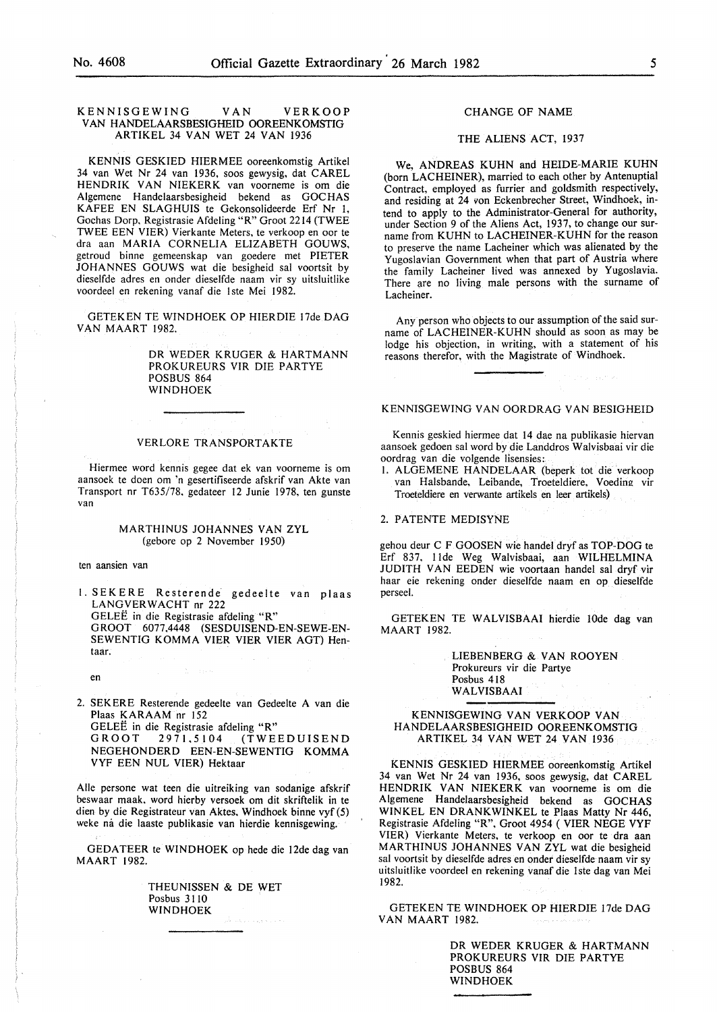#### KENNISGEWING VAN VERKOOP VAN HANDELAARSBESIGHEID OOREENKOMSTIG ARTIKEL 34 VAN WET 24 VAN 1936

KENNIS GESKIED HIERMEE ooreenkomstig Artikel 34 van Wet Nr 24 van 1936, soos gewysig, dat CAREL HENDRIK VAN NIEKERK van voorneme is om die Algemene Handelaarsbesigheid bekend as GOCHAS KAFEE EN SLAGHUIS te Gekonsolideerde Erf Nr I, Gochas Dorp. Registrasie Afdeling "R" Groot 2214 (TWEE TWEE EEN VIER) Vierkante Meters, te verkoop en oor te dra aan MARIA CORNELIA ELIZABETH GOUWS, getroud binne gemeenskap van goedere met PIETER JOHANNES GOUWS wat die besigheid sal voortsit by dieselfde adres en onder dieselfde naam vir sy uitsluitlike voordeel en rekening vanaf die 1ste Mei 1982.

GETEKEN TE WINDHOEK OP HIERDIE 17de DAG VAN MAART 1982.

> DR WEDER KRUGER & HARTMANN PROKUREURS VIR DIE PARTYE POSBUS 864 WINDHOEK

## VERLORE TRANSPORTAKTE

Hiermee word kennis gegee dat ek van voorneme is om aansoek te doen om 'n gesertifiseerde afskrif van Akte van Transport nr T635/78, gedateer 12 Junie 1978, ten gunste van

#### MARTHINUS JOHANNES VAN ZYL (gebore op 2 November 1950)

ten aansien van

1. SEKERE Resterende gedeelte van plaas LANGVERWACHT nr 222 GELEE in die Registrasie afdeling "R" GROOT 6077.4448 (SESDUISEND-EN-SEWE-EN-SEWENTIG KOMMA VIER VIER VIER AGT) Hentaar.

en

2. SEKERE Resterende gedeelte van Gedeelte A van die Plaas KARAAM nr !52

GELEË in die Registrasie afdeling "R"<br>GROOT 2971,5104 (TWE GROOT 2971.5104 (TWEEDUISEND NEGEHONDERD EEN-EN-SEWENTIG KOMMA VYF EEN NUL VIER) Hektaar

Aile persone wat teen die uitreiking van sodanige afskrif beswaar maak. word hierby versoek om dit skriftelik in te dien by die Registrateur van Aktes. Windhoek binne vyf (5) weke na die laaste publikasie van hierdie kennisgewing.

GEDATEER te WINDHOEK op hede die 12de dag van MAART 1982.

> THEUNISSEN & DE WET Posbus 3110 WINDHOEK

# CHANGE OF NAME

#### THE ALIENS ACT, 1937

We, ANDREAS KUHN and HEIDE-MARIE KUHN (born LACHEINER), married to each other by Antenuptial Contract, employed as furrier and goldsmith respectively, and residing at 24 *von* Eckenbrecher Street, Windhoek, intend to apply to the Administrator-General for authority, under Section 9 of the Aliens Act, 1937, to change our surname from KUHN to LACHEINER-KUHN for the reason to preserve the name Lacheiner which was alienated by the Yugoslavian Government when that part of Austria where the family Lacheiner lived was annexed by Yugoslavia. There are no living male persons with the surname of Lacheiner.

Any person who objects to our assumption of the said surname of LACHEINER-KUHN should as soon as may be lodge his objection, in writing, with a statement of his reasons therefor, with the Magistrate of Windhoek.

## KENNISGEWING VAN OORDRAG VAN BESIGHEID

Kennis geskied hiermee dat 14 dae na publikasie hiervan aansoek gedoen sal word by die Landdros Walvisbaai vir die oordrag van die volgende lisensies:

I. ALGEMENE HANDELAAR (beperk tot die verkoop van Halsbande, Leibande, Troeteldiere, Voeding vir Troeteldiere en verwante artikels en leer artikels)

2. PATENTE MEDISYNE

gehou deur C F GOOSEN wie handel dryf as TOP-DOG te Erf 837, !Ide Weg Walvisbaai, aan WILHELMINA JUDITH VAN EEDEN wie voortaan handel sal dryf vir haar eie rekening onder diesdfde naam en op dieselfde perseel.

GETEKEN TE WALVISBAAI hierdie lOde dag van MAART 1982.

> LIEBENBERG & VAN ROOYEN Prokureurs vir die Partye Posbus 418 WALVISBAAI

#### KENNISGEWING VAN VERKOOP VAN HANDELAARSBESIGHEID OOREENKOMSTIG ARTIKEL 34 VAN WET 24 VAN 1936

KENNIS GESKIED HIERMEE ooreenkomstig Artikel 34 van Wet Nr 24 van 1936, soos gewysig, dat CAREL HENDRIK VAN NIEKERK van voorneme is om die Algemene Handelaarsbesigheid bekend as GOCHAS WINKEL EN DRANKWINKEL te Plaas Matty Nr 446, Registrasie Afdeling "R", Groot 4954 ( VIER NEGE VYF VIER) Vierkante Meters, te verkoop en oor te dra aan MARTHINUS JOHANNES VAN ZYL wat die besigheid sal voortsit by dieselfde adres en onder dieselfde naam vir sy uitsluitlike voordeel en rekening vanaf die lste dag van Mei 1982.

GETEKEN TE WINDHOEK OP HIERDIE l7de DAG VAN MAART 1982.

> DR WEDER KRUGER & HARTMANN PROKUREURS VIR DIE PARTYE POSBUS 864 WINDHOEK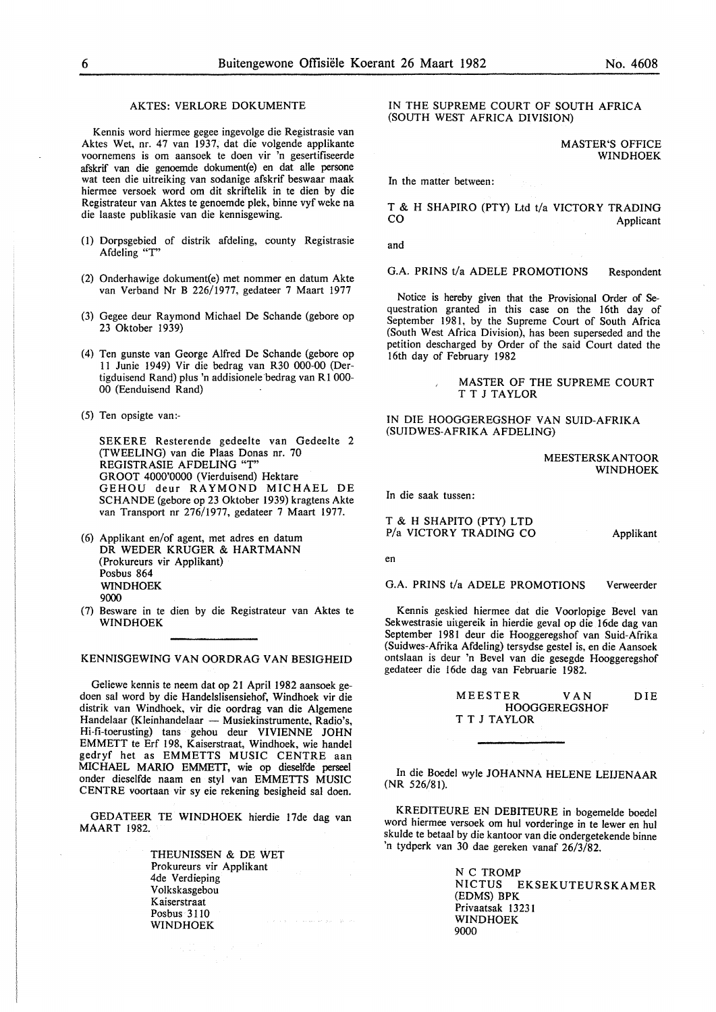## AKTES: VERLORE DOKUMENTE

Kennis word hiermee gegee ingevolge die Registrasie van Aktes Wet, nr. 47 van 1937, dat die volgende applikante voornemens is om aansoek te doen vir 'n gesertifiseerde afskrif van die genoemde dokument(e) en dat alle persone wat teen die uitreiking van sodanige afskrif beswaar maak hiermee versoek word om dit skriftelik in te dien by die Registrateur van Aktes te genoemde plek, binne vyf weke na die laaste publikasie van die kennisgewing.

- (l) Dorpsgebied of distrik afdeling, county Registrasie Afdeling "T''
- (2) Onderhawige dokument(e) met nommer en datum Akte van Verband Nr B 226/1977, gedateer 7 Maart 1977
- (3) Gegee deur Raymond Michael De Schande (gebore op 23 Oktober 1939)
- (4) Ten gunste van George Alfred De Schande (gebore op 11 Junie 1949) Vir die bedrag van R30 000-00 (Dertigduisend Rand) plus 'n addisionele bedrag van R1 000-00 (Eenduisend Rand)
- (5) Ten opsigte van:-

SEKERE Resterende gedeelte van Gedeelte 2 (TWEELING) van die Plaas Donas nr. 70 REGISTRASIE AFDELING "T" GROOT 4000'0000 (Vierduisend) Hektare GEHOU deur RAYMOND MICHAEL DE SCHANDE (gebore op 23 Oktober 1939) kragtens Akte van Transport nr 276/1977, gedateer 7 Maart 1977.

- (6) Applikant en/of agent, met adres en datum DR WEDER KRUGER & HARTMANN (Prokureurs vir Applikant) Posbus 864 WINDHOEK 9000
- (7) Besware in te dien by die Registrateur van Aktes te WINDHOEK

KENNISGEWING VAN OORDRAG VAN BESIGHEID

Geliewe kennis te neem dat op 21 April 1982 aansoek gedoen sal word by die Handelslisensiehof, Windhoek vir die distrik van Windhoek, vir die oordrag van die Algemene Handelaar (Kleinhandelaar - Musiekinstrumente, Radio's, Hi-fi-toerusting) tans gehou deur VIVIENNE JOHN EMMETT te Erf 198, Kaiserstraat, Windhoek, wie handel gedryf het as EMMETTS MUSIC CENTRE aan MICHAEL MARIO EMMETT, wie op dieselfde perseel onder dieselfde naam en sty! van EMMETTS MUSIC CENTRE voortaan vir sy eie rekening besigheid sal doen.

GEDATEER TE WINDHOEK hierdie 17de dag van MAART 1982.

> THEUNISSEN & DE WET Prokureurs vir Applikant 4de Verdieping Volkskasgebou Kaiserstraat Posbus 3110 WINDHOEK

IN THE SUPREME COURT OF SOUTH AFRICA (SOUTH WEST AFRICA DIVISION)

> MASTER'S OFFICE WINDHOEK

In the matter between:

T & H SHAPIRO (PTY) Ltd t/a VICTORY TRADING<br>CO<br>Applicant Applicant

and

G.A. PRINS t/a ADELE PROMOTIONS Respondent

Notice is hereby given that the Provisional Order of Sequestration granted in this case on the 16th day of September 1981, by the Supreme Court of South Africa (South West Africa Division), has been superseded and the petition descharged by Order of the said Court dated the 16th day of February 1982

#### MASTER OF THE SUPREME COURT T T J TAYLOR

IN DIE HOOGGEREGSHOF VAN SUID-AFRIKA (SUIDWES-AFRIKA AFDELING)

#### MEESTERSKANTOOR WINDHOEK

In die saak tussen:

T & H SHAPITO (PTY) LTD P/a VICTORY TRADING CO Applikant

en

G.A. PRINS t/a ADELE PROMOTIONS Verweerder

Kennis geskied hiermee dat die Voorlopige Bevel van Sekwestrasie uitgereik in hierdie geval op die 16de dag van September 1981 deur die Hooggeregshof van Suid-Afrika (Suidwes-Afrika Afdeling) tersydse gestel is, en die Aansoek ontstaan is deur 'n Bevel van die gesegde Hooggeregshof gedateer die 16de dag van Februarie 1982.

> MEESTER VAN DIE HOOGGEREGSHOF T T J TAYLOR

In die Boedel wyle JOHANNA HELENE LEIJENAAR (NR 526/81).

KREDITEURE EN DEBITEURE in bogemelde boedel word hiermee versoek om hul vorderinge in te lewer en hul skulde te betaal by die kantoor van die ondergetekende binne 'n tydperk van 30 dae gereken vanaf 26/3/82.

> N C TROMP NICTUS EKSEKUTEURSKAMER (EDMS) BPK Privaatsak 13231 WINDHOEK 9000